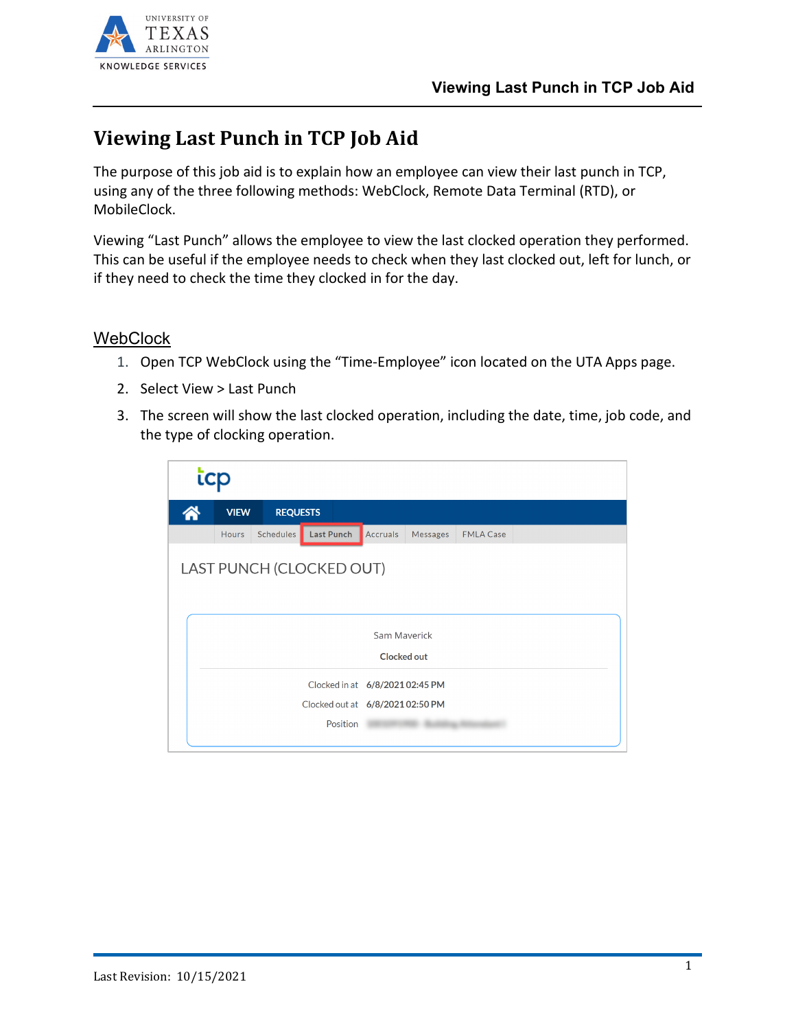

## **Viewing Last Punch in TCP Job Aid**

The purpose of this job aid is to explain how an employee can view their last punch in TCP, using any of the three following methods: WebClock, Remote Data Terminal (RTD), or MobileClock.

Viewing "Last Punch" allows the employee to view the last clocked operation they performed. This can be useful if the employee needs to check when they last clocked out, left for lunch, or if they need to check the time they clocked in for the day.

## **WebClock**

- 1. Open TCP WebClock using the "Time-Employee" icon located on the UTA Apps page.
- 2. Select View > Last Punch
- 3. The screen will show the last clocked operation, including the date, time, job code, and the type of clocking operation.

| icp |                                  |                 |                   |          |          |                  |  |  |
|-----|----------------------------------|-----------------|-------------------|----------|----------|------------------|--|--|
|     | <b>VIEW</b>                      | <b>REQUESTS</b> |                   |          |          |                  |  |  |
|     | <b>Hours</b>                     | Schedules       | <b>Last Punch</b> | Accruals | Messages | <b>FMLA Case</b> |  |  |
|     | LAST PUNCH (CLOCKED OUT)         |                 |                   |          |          |                  |  |  |
|     | Sam Maverick                     |                 |                   |          |          |                  |  |  |
|     | Clocked out                      |                 |                   |          |          |                  |  |  |
|     | Clocked in at 6/8/2021 02:45 PM  |                 |                   |          |          |                  |  |  |
|     | Clocked out at 6/8/2021 02:50 PM |                 |                   |          |          |                  |  |  |
|     | Position                         |                 |                   |          |          |                  |  |  |
|     |                                  |                 |                   |          |          |                  |  |  |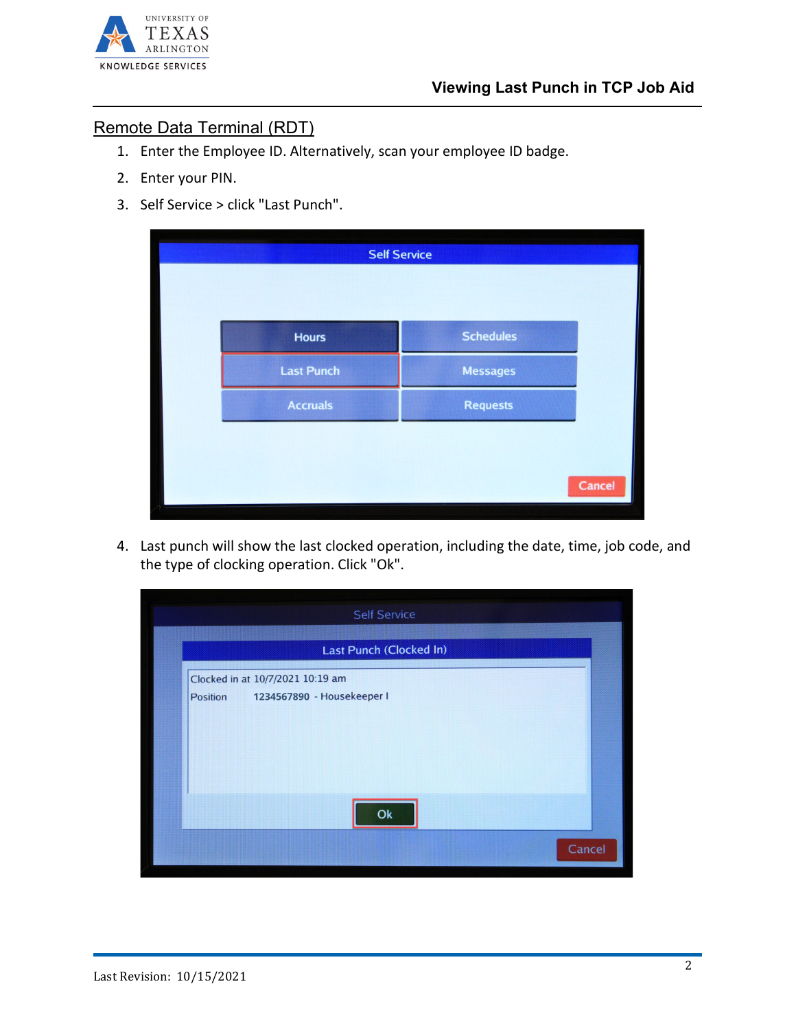

## Remote Data Terminal (RDT)

- 1. Enter the Employee ID. Alternatively, scan your employee ID badge.
- 2. Enter your PIN.
- 3. Self Service > click "Last Punch".

| <b>Hours</b>      | <b>Schedules</b> |                     |
|-------------------|------------------|---------------------|
| <b>Last Punch</b> | <b>Messages</b>  |                     |
| <b>Accruals</b>   | <b>Requests</b>  |                     |
|                   |                  |                     |
|                   |                  | Cancel              |
|                   |                  | <b>Self Service</b> |

4. Last punch will show the last clocked operation, including the date, time, job code, and the type of clocking operation. Click "Ok".

|          | Last Punch (Clocked In)          |  |
|----------|----------------------------------|--|
|          | Clocked in at 10/7/2021 10:19 am |  |
| Position | 1234567890 - Housekeeper I       |  |
|          |                                  |  |
|          |                                  |  |
|          |                                  |  |
|          |                                  |  |
|          |                                  |  |
|          |                                  |  |
|          | Ok                               |  |